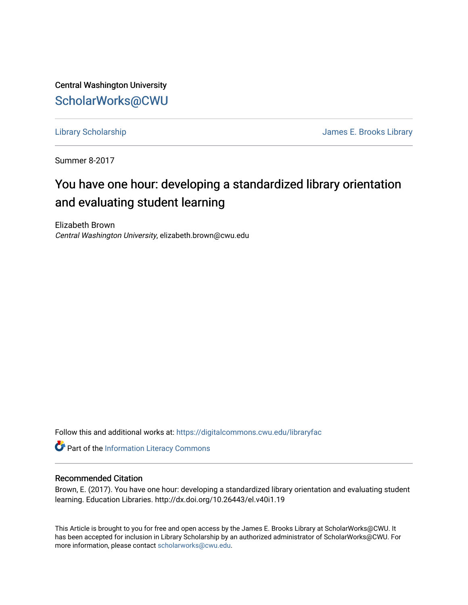Central Washington University [ScholarWorks@CWU](https://digitalcommons.cwu.edu/) 

[Library Scholarship](https://digitalcommons.cwu.edu/libraryfac) [James E. Brooks Library](https://digitalcommons.cwu.edu/library) 

Summer 8-2017

# You have one hour: developing a standardized library orientation and evaluating student learning

Elizabeth Brown Central Washington University, elizabeth.brown@cwu.edu

Follow this and additional works at: [https://digitalcommons.cwu.edu/libraryfac](https://digitalcommons.cwu.edu/libraryfac?utm_source=digitalcommons.cwu.edu%2Flibraryfac%2F55&utm_medium=PDF&utm_campaign=PDFCoverPages) 

Part of the [Information Literacy Commons](http://network.bepress.com/hgg/discipline/1243?utm_source=digitalcommons.cwu.edu%2Flibraryfac%2F55&utm_medium=PDF&utm_campaign=PDFCoverPages)

#### Recommended Citation

Brown, E. (2017). You have one hour: developing a standardized library orientation and evaluating student learning. Education Libraries. http://dx.doi.org/10.26443/el.v40i1.19

This Article is brought to you for free and open access by the James E. Brooks Library at ScholarWorks@CWU. It has been accepted for inclusion in Library Scholarship by an authorized administrator of ScholarWorks@CWU. For more information, please contact [scholarworks@cwu.edu.](mailto:scholarworks@cwu.edu)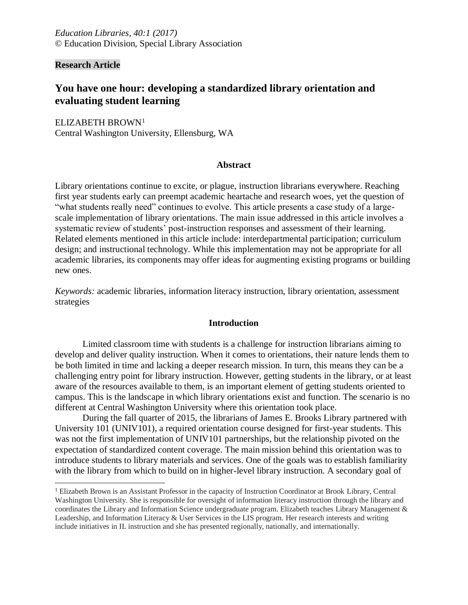**Research Article**

 $\overline{a}$ 

# **You have one hour: developing a standardized library orientation and evaluating student learning**

ELIZABETH BROWN<sup>1</sup> Central Washington University, Ellensburg, WA

#### **Abstract**

Library orientations continue to excite, or plague, instruction librarians everywhere. Reaching first year students early can preempt academic heartache and research woes, yet the question of "what students really need" continues to evolve. This article presents a case study of a largescale implementation of library orientations. The main issue addressed in this article involves a systematic review of students' post-instruction responses and assessment of their learning. Related elements mentioned in this article include: interdepartmental participation; curriculum design; and instructional technology. While this implementation may not be appropriate for all academic libraries, its components may offer ideas for augmenting existing programs or building new ones.

*Keywords:* academic libraries, information literacy instruction, library orientation, assessment strategies

#### **Introduction**

Limited classroom time with students is a challenge for instruction librarians aiming to develop and deliver quality instruction. When it comes to orientations, their nature lends them to be both limited in time and lacking a deeper research mission. In turn, this means they can be a challenging entry point for library instruction. However, getting students in the library, or at least aware of the resources available to them, is an important element of getting students oriented to campus. This is the landscape in which library orientations exist and function. The scenario is no different at Central Washington University where this orientation took place.

During the fall quarter of 2015, the librarians of James E. Brooks Library partnered with University 101 (UNIV101), a required orientation course designed for first-year students. This was not the first implementation of UNIV101 partnerships, but the relationship pivoted on the expectation of standardized content coverage. The main mission behind this orientation was to introduce students to library materials and services. One of the goals was to establish familiarity with the library from which to build on in higher-level library instruction. A secondary goal of

<sup>&</sup>lt;sup>1</sup> Elizabeth Brown is an Assistant Professor in the capacity of Instruction Coordinator at Brook Library, Central Washington University. She is responsible for oversight of information literacy instruction through the library and coordinates the Library and Information Science undergraduate program. Elizabeth teaches Library Management & Leadership, and Information Literacy & User Services in the LIS program. Her research interests and writing include initiatives in IL instruction and she has presented regionally, nationally, and internationally.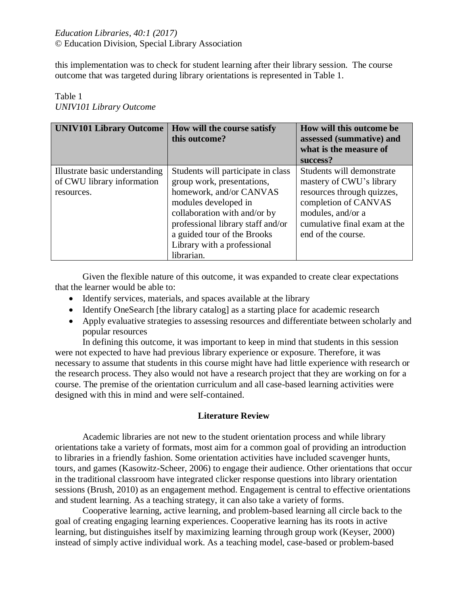this implementation was to check for student learning after their library session. The course outcome that was targeted during library orientations is represented in Table 1.

# Table 1 *UNIV101 Library Outcome*

| <b>UNIV101 Library Outcome</b>                                             | How will the course satisfy<br>this outcome?                                                                                                                                                                                                                         | How will this outcome be.<br>assessed (summative) and<br>what is the measure of<br>success?                                                                                            |
|----------------------------------------------------------------------------|----------------------------------------------------------------------------------------------------------------------------------------------------------------------------------------------------------------------------------------------------------------------|----------------------------------------------------------------------------------------------------------------------------------------------------------------------------------------|
| Illustrate basic understanding<br>of CWU library information<br>resources. | Students will participate in class<br>group work, presentations,<br>homework, and/or CANVAS<br>modules developed in<br>collaboration with and/or by<br>professional library staff and/or<br>a guided tour of the Brooks<br>Library with a professional<br>librarian. | Students will demonstrate<br>mastery of CWU's library<br>resources through quizzes,<br>completion of CANVAS<br>modules, and/or a<br>cumulative final exam at the<br>end of the course. |

Given the flexible nature of this outcome, it was expanded to create clear expectations that the learner would be able to:

- Identify services, materials, and spaces available at the library
- Identify OneSearch [the library catalog] as a starting place for academic research
- Apply evaluative strategies to assessing resources and differentiate between scholarly and popular resources

In defining this outcome, it was important to keep in mind that students in this session were not expected to have had previous library experience or exposure. Therefore, it was necessary to assume that students in this course might have had little experience with research or the research process. They also would not have a research project that they are working on for a course. The premise of the orientation curriculum and all case-based learning activities were designed with this in mind and were self-contained.

### **Literature Review**

Academic libraries are not new to the student orientation process and while library orientations take a variety of formats, most aim for a common goal of providing an introduction to libraries in a friendly fashion. Some orientation activities have included scavenger hunts, tours, and games (Kasowitz-Scheer, 2006) to engage their audience. Other orientations that occur in the traditional classroom have integrated clicker response questions into library orientation sessions (Brush, 2010) as an engagement method. Engagement is central to effective orientations and student learning. As a teaching strategy, it can also take a variety of forms.

Cooperative learning, active learning, and problem-based learning all circle back to the goal of creating engaging learning experiences. Cooperative learning has its roots in active learning, but distinguishes itself by maximizing learning through group work (Keyser, 2000) instead of simply active individual work. As a teaching model, case-based or problem-based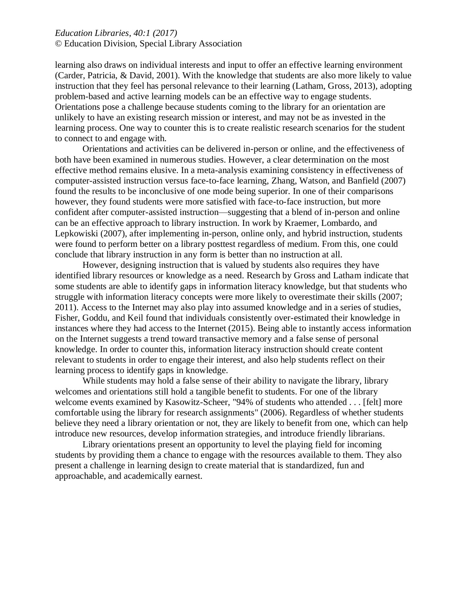learning also draws on individual interests and input to offer an effective learning environment (Carder, Patricia, & David, 2001). With the knowledge that students are also more likely to value instruction that they feel has personal relevance to their learning (Latham, Gross, 2013), adopting problem-based and active learning models can be an effective way to engage students. Orientations pose a challenge because students coming to the library for an orientation are unlikely to have an existing research mission or interest, and may not be as invested in the learning process. One way to counter this is to create realistic research scenarios for the student to connect to and engage with.

Orientations and activities can be delivered in-person or online, and the effectiveness of both have been examined in numerous studies. However, a clear determination on the most effective method remains elusive. In a meta-analysis examining consistency in effectiveness of computer-assisted instruction versus face-to-face learning, Zhang, Watson, and Banfield (2007) found the results to be inconclusive of one mode being superior. In one of their comparisons however, they found students were more satisfied with face-to-face instruction, but more confident after computer-assisted instruction—suggesting that a blend of in-person and online can be an effective approach to library instruction. In work by Kraemer, Lombardo, and Lepkowiski (2007), after implementing in-person, online only, and hybrid instruction, students were found to perform better on a library posttest regardless of medium. From this, one could conclude that library instruction in any form is better than no instruction at all.

However, designing instruction that is valued by students also requires they have identified library resources or knowledge as a need. Research by Gross and Latham indicate that some students are able to identify gaps in information literacy knowledge, but that students who struggle with information literacy concepts were more likely to overestimate their skills (2007; 2011). Access to the Internet may also play into assumed knowledge and in a series of studies, Fisher, Goddu, and Keil found that individuals consistently over-estimated their knowledge in instances where they had access to the Internet (2015). Being able to instantly access information on the Internet suggests a trend toward transactive memory and a false sense of personal knowledge. In order to counter this, information literacy instruction should create content relevant to students in order to engage their interest, and also help students reflect on their learning process to identify gaps in knowledge.

While students may hold a false sense of their ability to navigate the library, library welcomes and orientations still hold a tangible benefit to students. For one of the library welcome events examined by Kasowitz-Scheer, "94% of students who attended . . . [felt] more comfortable using the library for research assignments" (2006). Regardless of whether students believe they need a library orientation or not, they are likely to benefit from one, which can help introduce new resources, develop information strategies, and introduce friendly librarians.

Library orientations present an opportunity to level the playing field for incoming students by providing them a chance to engage with the resources available to them. They also present a challenge in learning design to create material that is standardized, fun and approachable, and academically earnest.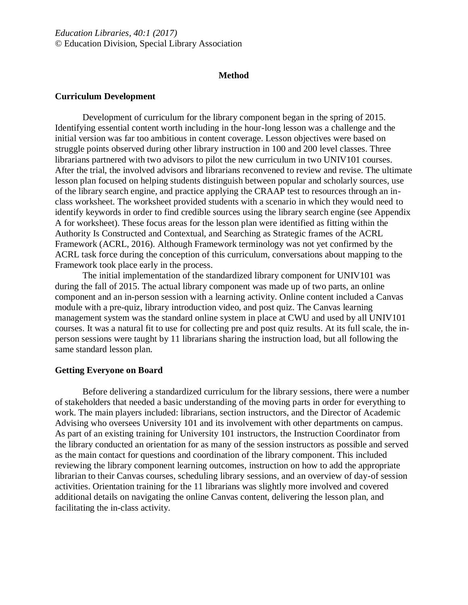#### **Method**

#### **Curriculum Development**

Development of curriculum for the library component began in the spring of 2015. Identifying essential content worth including in the hour-long lesson was a challenge and the initial version was far too ambitious in content coverage. Lesson objectives were based on struggle points observed during other library instruction in 100 and 200 level classes. Three librarians partnered with two advisors to pilot the new curriculum in two UNIV101 courses. After the trial, the involved advisors and librarians reconvened to review and revise. The ultimate lesson plan focused on helping students distinguish between popular and scholarly sources, use of the library search engine, and practice applying the CRAAP test to resources through an inclass worksheet. The worksheet provided students with a scenario in which they would need to identify keywords in order to find credible sources using the library search engine (see Appendix A for worksheet). These focus areas for the lesson plan were identified as fitting within the Authority Is Constructed and Contextual, and Searching as Strategic frames of the ACRL Framework (ACRL, 2016). Although Framework terminology was not yet confirmed by the ACRL task force during the conception of this curriculum, conversations about mapping to the Framework took place early in the process.

The initial implementation of the standardized library component for UNIV101 was during the fall of 2015. The actual library component was made up of two parts, an online component and an in-person session with a learning activity. Online content included a Canvas module with a pre-quiz, library introduction video, and post quiz. The Canvas learning management system was the standard online system in place at CWU and used by all UNIV101 courses. It was a natural fit to use for collecting pre and post quiz results. At its full scale, the inperson sessions were taught by 11 librarians sharing the instruction load, but all following the same standard lesson plan.

#### **Getting Everyone on Board**

Before delivering a standardized curriculum for the library sessions, there were a number of stakeholders that needed a basic understanding of the moving parts in order for everything to work. The main players included: librarians, section instructors, and the Director of Academic Advising who oversees University 101 and its involvement with other departments on campus. As part of an existing training for University 101 instructors, the Instruction Coordinator from the library conducted an orientation for as many of the session instructors as possible and served as the main contact for questions and coordination of the library component. This included reviewing the library component learning outcomes, instruction on how to add the appropriate librarian to their Canvas courses, scheduling library sessions, and an overview of day-of session activities. Orientation training for the 11 librarians was slightly more involved and covered additional details on navigating the online Canvas content, delivering the lesson plan, and facilitating the in-class activity.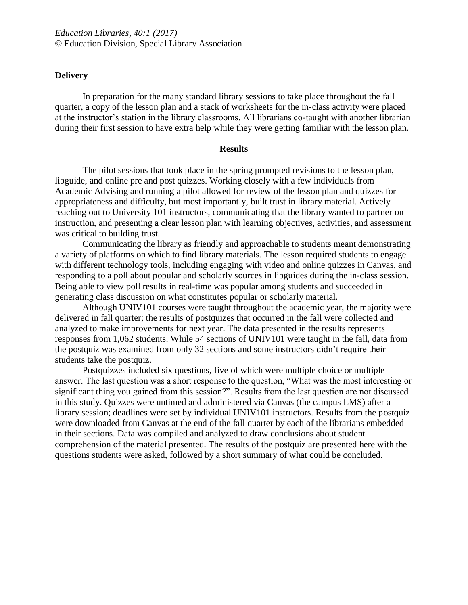#### **Delivery**

In preparation for the many standard library sessions to take place throughout the fall quarter, a copy of the lesson plan and a stack of worksheets for the in-class activity were placed at the instructor's station in the library classrooms. All librarians co-taught with another librarian during their first session to have extra help while they were getting familiar with the lesson plan.

#### **Results**

The pilot sessions that took place in the spring prompted revisions to the lesson plan, libguide, and online pre and post quizzes. Working closely with a few individuals from Academic Advising and running a pilot allowed for review of the lesson plan and quizzes for appropriateness and difficulty, but most importantly, built trust in library material. Actively reaching out to University 101 instructors, communicating that the library wanted to partner on instruction, and presenting a clear lesson plan with learning objectives, activities, and assessment was critical to building trust.

Communicating the library as friendly and approachable to students meant demonstrating a variety of platforms on which to find library materials. The lesson required students to engage with different technology tools, including engaging with video and online quizzes in Canvas, and responding to a poll about popular and scholarly sources in libguides during the in-class session. Being able to view poll results in real-time was popular among students and succeeded in generating class discussion on what constitutes popular or scholarly material.

Although UNIV101 courses were taught throughout the academic year, the majority were delivered in fall quarter; the results of postquizes that occurred in the fall were collected and analyzed to make improvements for next year. The data presented in the results represents responses from 1,062 students. While 54 sections of UNIV101 were taught in the fall, data from the postquiz was examined from only 32 sections and some instructors didn't require their students take the postquiz.

Postquizzes included six questions, five of which were multiple choice or multiple answer. The last question was a short response to the question, "What was the most interesting or significant thing you gained from this session?". Results from the last question are not discussed in this study. Quizzes were untimed and administered via Canvas (the campus LMS) after a library session; deadlines were set by individual UNIV101 instructors. Results from the postquiz were downloaded from Canvas at the end of the fall quarter by each of the librarians embedded in their sections. Data was compiled and analyzed to draw conclusions about student comprehension of the material presented. The results of the postquiz are presented here with the questions students were asked, followed by a short summary of what could be concluded.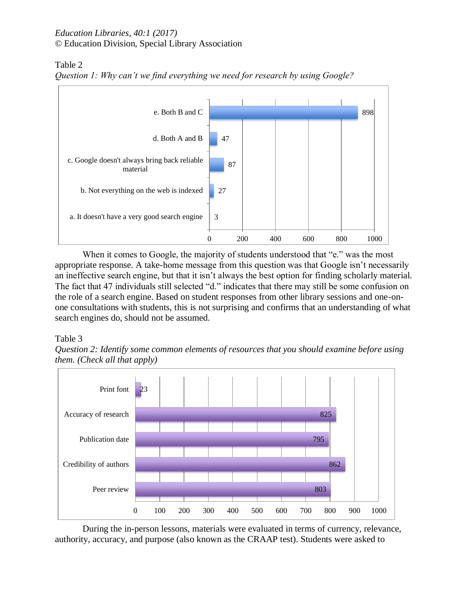## Table 2



*Question 1: Why can't we find everything we need for research by using Google?*

When it comes to Google, the majority of students understood that "e." was the most appropriate response. A take-home message from this question was that Google isn't necessarily an ineffective search engine, but that it isn't always the best option for finding scholarly material. The fact that 47 individuals still selected "d." indicates that there may still be some confusion on the role of a search engine. Based on student responses from other library sessions and one-onone consultations with students, this is not surprising and confirms that an understanding of what search engines do, should not be assumed.

# Table 3





During the in-person lessons, materials were evaluated in terms of currency, relevance, authority, accuracy, and purpose (also known as the CRAAP test). Students were asked to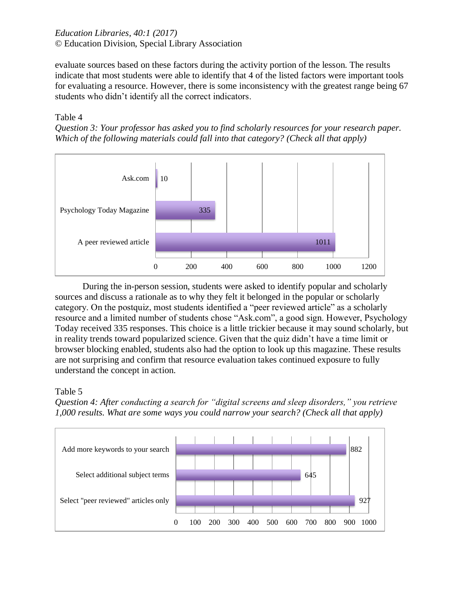evaluate sources based on these factors during the activity portion of the lesson. The results indicate that most students were able to identify that 4 of the listed factors were important tools for evaluating a resource. However, there is some inconsistency with the greatest range being 67 students who didn't identify all the correct indicators.

Table 4

*Question 3: Your professor has asked you to find scholarly resources for your research paper. Which of the following materials could fall into that category? (Check all that apply)* 



During the in-person session, students were asked to identify popular and scholarly sources and discuss a rationale as to why they felt it belonged in the popular or scholarly category. On the postquiz, most students identified a "peer reviewed article" as a scholarly resource and a limited number of students chose "Ask.com", a good sign. However, Psychology Today received 335 responses. This choice is a little trickier because it may sound scholarly, but in reality trends toward popularized science. Given that the quiz didn't have a time limit or browser blocking enabled, students also had the option to look up this magazine. These results are not surprising and confirm that resource evaluation takes continued exposure to fully understand the concept in action.

# Table 5

*Question 4: After conducting a search for "digital screens and sleep disorders," you retrieve 1,000 results. What are some ways you could narrow your search? (Check all that apply)*

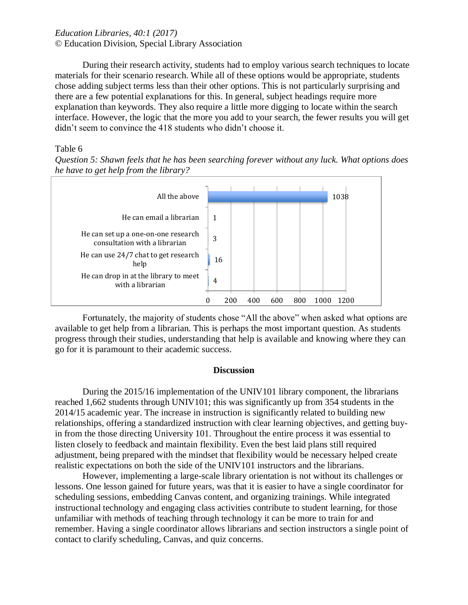During their research activity, students had to employ various search techniques to locate materials for their scenario research. While all of these options would be appropriate, students chose adding subject terms less than their other options. This is not particularly surprising and there are a few potential explanations for this. In general, subject headings require more explanation than keywords. They also require a little more digging to locate within the search interface. However, the logic that the more you add to your search, the fewer results you will get didn't seem to convince the 418 students who didn't choose it.

### Table 6

*Question 5: Shawn feels that he has been searching forever without any luck. What options does he have to get help from the library?*



Fortunately, the majority of students chose "All the above" when asked what options are available to get help from a librarian. This is perhaps the most important question. As students progress through their studies, understanding that help is available and knowing where they can go for it is paramount to their academic success.

#### **Discussion**

During the 2015/16 implementation of the UNIV101 library component, the librarians reached 1,662 students through UNIV101; this was significantly up from 354 students in the 2014/15 academic year. The increase in instruction is significantly related to building new relationships, offering a standardized instruction with clear learning objectives, and getting buyin from the those directing University 101. Throughout the entire process it was essential to listen closely to feedback and maintain flexibility. Even the best laid plans still required adjustment, being prepared with the mindset that flexibility would be necessary helped create realistic expectations on both the side of the UNIV101 instructors and the librarians.

However, implementing a large-scale library orientation is not without its challenges or lessons. One lesson gained for future years, was that it is easier to have a single coordinator for scheduling sessions, embedding Canvas content, and organizing trainings. While integrated instructional technology and engaging class activities contribute to student learning, for those unfamiliar with methods of teaching through technology it can be more to train for and remember. Having a single coordinator allows librarians and section instructors a single point of contact to clarify scheduling, Canvas, and quiz concerns.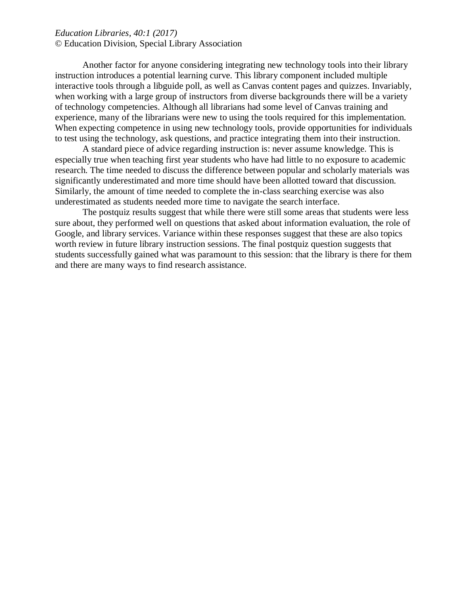Another factor for anyone considering integrating new technology tools into their library instruction introduces a potential learning curve. This library component included multiple interactive tools through a libguide poll, as well as Canvas content pages and quizzes. Invariably, when working with a large group of instructors from diverse backgrounds there will be a variety of technology competencies. Although all librarians had some level of Canvas training and experience, many of the librarians were new to using the tools required for this implementation. When expecting competence in using new technology tools, provide opportunities for individuals to test using the technology, ask questions, and practice integrating them into their instruction.

A standard piece of advice regarding instruction is: never assume knowledge. This is especially true when teaching first year students who have had little to no exposure to academic research. The time needed to discuss the difference between popular and scholarly materials was significantly underestimated and more time should have been allotted toward that discussion. Similarly, the amount of time needed to complete the in-class searching exercise was also underestimated as students needed more time to navigate the search interface.

The postquiz results suggest that while there were still some areas that students were less sure about, they performed well on questions that asked about information evaluation, the role of Google, and library services. Variance within these responses suggest that these are also topics worth review in future library instruction sessions. The final postquiz question suggests that students successfully gained what was paramount to this session: that the library is there for them and there are many ways to find research assistance.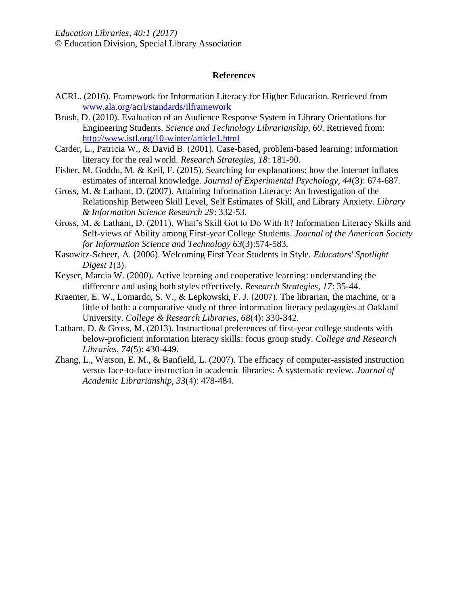#### **References**

- ACRL. (2016). Framework for Information Literacy for Higher Education. Retrieved from [www.ala.org/acrl/standards/ilframework](http://www.ala.org/acrl/standards/ilframework)
- Brush, D. (2010). Evaluation of an Audience Response System in Library Orientations for Engineering Students. *Science and Technology Librarianship, 60*. Retrieved from: <http://www.istl.org/10-winter/article1.html>
- Carder, L., Patricia W., & David B. (2001). Case-based, problem-based learning: information literacy for the real world. *Research Strategies, 18*: 181-90.
- Fisher, M. Goddu, M. & Keil, F. (2015). Searching for explanations: how the Internet inflates estimates of internal knowledge. *Journal of Experimental Psychology, 44*(3): 674-687.
- Gross, M. & Latham, D. (2007). Attaining Information Literacy: An Investigation of the Relationship Between Skill Level, Self Estimates of Skill, and Library Anxiety. *Library & Information Science Research 29*: 332-53.
- Gross, M. & Latham, D. (2011). What's Skill Got to Do With It? Information Literacy Skills and Self-views of Ability among First-year College Students. *Journal of the American Society for Information Science and Technology 63*(3):574-583*.*
- Kasowitz-Scheer, A. (2006). Welcoming First Year Students in Style. *Educators' Spotlight Digest 1*(3).
- Keyser, Marcia W. (2000). Active learning and cooperative learning: understanding the difference and using both styles effectively. *Research Strategies, 17*: 35-44.
- Kraemer, E. W., Lomardo, S. V., & Lepkowski, F. J. (2007). The librarian, the machine, or a little of both: a comparative study of three information literacy pedagogies at Oakland University. *College & Research Libraries, 68*(4): 330-342.
- Latham, D. & Gross, M. (2013). Instructional preferences of first-year college students with below-proficient information literacy skills: focus group study. *College and Research Libraries, 74*(5): 430-449.
- Zhang, L., Watson, E. M., & Banfield, L. (2007). The efficacy of computer-assisted instruction versus face-to-face instruction in academic libraries: A systematic review. *Journal of Academic Librarianship, 33*(4): 478-484.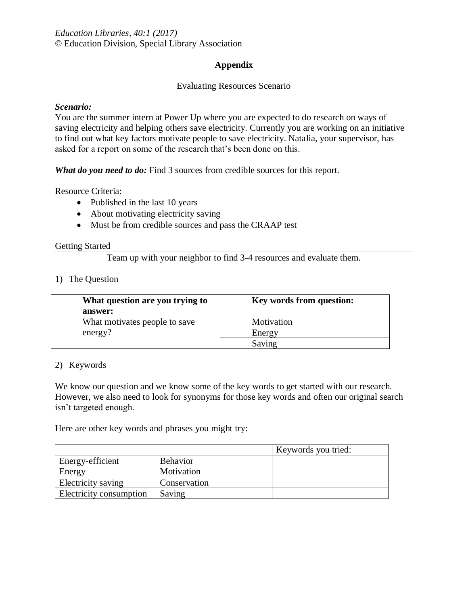### **Appendix**

### Evaluating Resources Scenario

#### *Scenario:*

You are the summer intern at Power Up where you are expected to do research on ways of saving electricity and helping others save electricity. Currently you are working on an initiative to find out what key factors motivate people to save electricity. Natalia, your supervisor, has asked for a report on some of the research that's been done on this.

*What do you need to do:* Find 3 sources from credible sources for this report.

Resource Criteria:

- Published in the last 10 years
- About motivating electricity saving
- Must be from credible sources and pass the CRAAP test

#### Getting Started

Team up with your neighbor to find 3-4 resources and evaluate them.

#### 1) The Question

| What question are you trying to | Key words from question: |
|---------------------------------|--------------------------|
| answer:                         |                          |
| What motivates people to save   | Motivation               |
| energy?                         | Energy                   |
|                                 | Saving                   |

#### 2) Keywords

We know our question and we know some of the key words to get started with our research. However, we also need to look for synonyms for those key words and often our original search isn't targeted enough.

Here are other key words and phrases you might try:

|                         |                 | Keywords you tried: |
|-------------------------|-----------------|---------------------|
| Energy-efficient        | <b>Behavior</b> |                     |
| Energy                  | Motivation      |                     |
| Electricity saving      | Conservation    |                     |
| Electricity consumption | Saving          |                     |